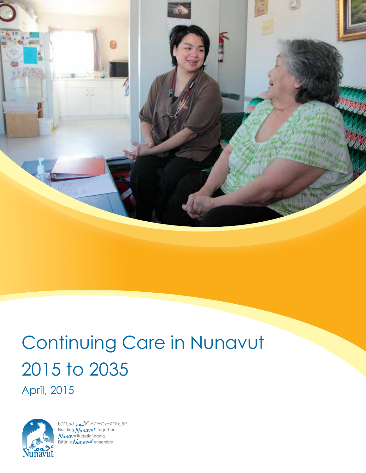

# Continuing Care in Nunavut 2015 to 2035 April, 2015



 $b$ <br>  $D \cap D$ <br>
Building  $N_{unavut}$  Together<br>  $N_{unavut}$  Together<br>
Bâtir le  $N_{unavut}$  ensemble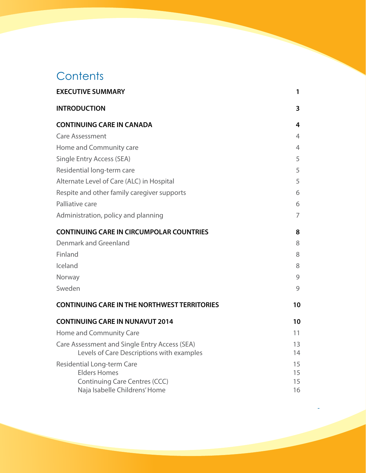## **Contents**

| <b>EXECUTIVE SUMMARY</b>                                                                                                          | 1                    |
|-----------------------------------------------------------------------------------------------------------------------------------|----------------------|
| <b>INTRODUCTION</b>                                                                                                               | 3                    |
| <b>CONTINUING CARE IN CANADA</b>                                                                                                  | 4                    |
| <b>Care Assessment</b>                                                                                                            | $\overline{4}$       |
| Home and Community care                                                                                                           | $\overline{4}$       |
| <b>Single Entry Access (SEA)</b>                                                                                                  | 5                    |
| Residential long-term care                                                                                                        | 5                    |
| Alternate Level of Care (ALC) in Hospital                                                                                         | 5                    |
| Respite and other family caregiver supports                                                                                       | 6                    |
| Palliative care                                                                                                                   | 6                    |
| Administration, policy and planning                                                                                               | $\overline{7}$       |
| <b>CONTINUING CARE IN CIRCUMPOLAR COUNTRIES</b>                                                                                   | 8                    |
| Denmark and Greenland                                                                                                             | 8                    |
| Finland                                                                                                                           | 8                    |
| Iceland                                                                                                                           | 8                    |
| Norway                                                                                                                            | 9                    |
| Sweden                                                                                                                            | 9                    |
| <b>CONTINUING CARE IN THE NORTHWEST TERRITORIES</b>                                                                               | 10                   |
| <b>CONTINUING CARE IN NUNAVUT 2014</b>                                                                                            | 10                   |
| <b>Home and Community Care</b>                                                                                                    | 11                   |
| Care Assessment and Single Entry Access (SEA)<br>Levels of Care Descriptions with examples                                        | 13<br>14             |
| <b>Residential Long-term Care</b><br><b>Elders Homes</b><br><b>Continuing Care Centres (CCC)</b><br>Naja Isabelle Childrens' Home | 15<br>15<br>15<br>16 |

11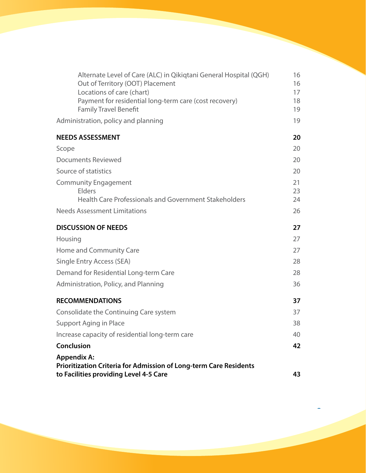| Alternate Level of Care (ALC) in Qikiqtani General Hospital (QGH)<br>Out of Territory (OOT) Placement<br>Locations of care (chart) | 16<br>16<br>17 |
|------------------------------------------------------------------------------------------------------------------------------------|----------------|
| Payment for residential long-term care (cost recovery)<br><b>Family Travel Benefit</b>                                             | 18<br>19       |
| Administration, policy and planning                                                                                                | 19             |
| <b>NEEDS ASSESSMENT</b>                                                                                                            | 20             |
| Scope                                                                                                                              | 20             |
| <b>Documents Reviewed</b>                                                                                                          | 20             |
| Source of statistics                                                                                                               | 20             |
| <b>Community Engagement</b><br><b>Elders</b><br>Health Care Professionals and Government Stakeholders                              | 21<br>23<br>24 |
| <b>Needs Assessment Limitations</b>                                                                                                | 26             |
| <b>DISCUSSION OF NEEDS</b>                                                                                                         | 27             |
| Housing                                                                                                                            | 27             |
| Home and Community Care                                                                                                            | 27             |
| <b>Single Entry Access (SEA)</b>                                                                                                   | 28             |
| Demand for Residential Long-term Care                                                                                              | 28             |
| Administration, Policy, and Planning                                                                                               | 36             |
| <b>RECOMMENDATIONS</b>                                                                                                             | 37             |
| Consolidate the Continuing Care system                                                                                             | 37             |
| <b>Support Aging in Place</b>                                                                                                      | 38             |
| Increase capacity of residential long-term care                                                                                    | 40             |
| Conclusion                                                                                                                         | 42             |
| <b>Appendix A:</b>                                                                                                                 |                |
| Prioritization Criteria for Admission of Long-term Care Residents<br>to Facilities providing Level 4-5 Care                        | 43             |

22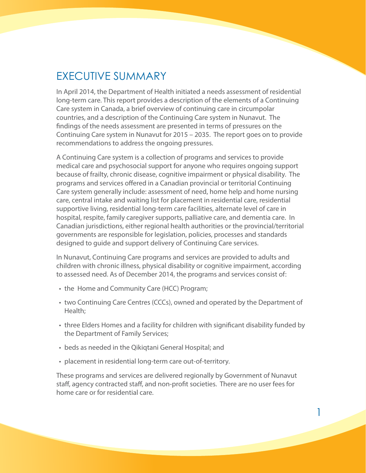## <span id="page-3-0"></span>EXECUTIVE SUMMARY

In April 2014, the Department of Health initiated a needs assessment of residential long-term care. This report provides a description of the elements of a Continuing Care system in Canada, a brief overview of continuing care in circumpolar countries, and a description of the Continuing Care system in Nunavut. The findings of the needs assessment are presented in terms of pressures on the Continuing Care system in Nunavut for 2015 – 2035. The report goes on to provide recommendations to address the ongoing pressures.

A Continuing Care system is a collection of programs and services to provide medical care and psychosocial support for anyone who requires ongoing support because of frailty, chronic disease, cognitive impairment or physical disability. The programs and services offered in a Canadian provincial or territorial Continuing Care system generally include: assessment of need, home help and home nursing care, central intake and waiting list for placement in residential care, residential supportive living, residential long-term care facilities, alternate level of care in hospital, respite, family caregiver supports, palliative care, and dementia care. In Canadian jurisdictions, either regional health authorities or the provincial/territorial governments are responsible for legislation, policies, processes and standards designed to guide and support delivery of Continuing Care services.

In Nunavut, Continuing Care programs and services are provided to adults and children with chronic illness, physical disability or cognitive impairment, according to assessed need. As of December 2014, the programs and services consist of:

- the Home and Community Care (HCC) Program;
- two Continuing Care Centres (CCCs), owned and operated by the Department of Health;
- three Elders Homes and a facility for children with significant disability funded by the Department of Family Services;
- beds as needed in the Qikiqtani General Hospital; and
- placement in residential long-term care out-of-territory.

These programs and services are delivered regionally by Government of Nunavut staff, agency contracted staff, and non-profit societies. There are no user fees for home care or for residential care.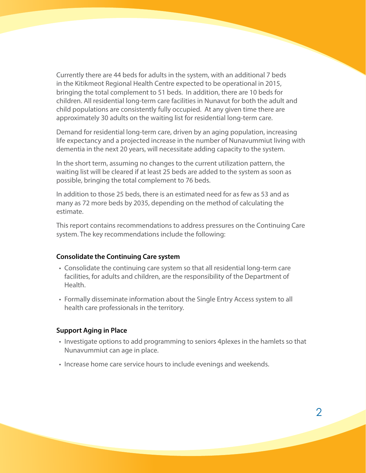Currently there are 44 beds for adults in the system, with an additional 7 beds in the Kitikmeot Regional Health Centre expected to be operational in 2015, bringing the total complement to 51 beds. In addition, there are 10 beds for children. All residential long-term care facilities in Nunavut for both the adult and child populations are consistently fully occupied. At any given time there are approximately 30 adults on the waiting list for residential long-term care.

Demand for residential long-term care, driven by an aging population, increasing life expectancy and a projected increase in the number of Nunavummiut living with dementia in the next 20 years, will necessitate adding capacity to the system.

In the short term, assuming no changes to the current utilization pattern, the waiting list will be cleared if at least 25 beds are added to the system as soon as possible, bringing the total complement to 76 beds.

In addition to those 25 beds, there is an estimated need for as few as 53 and as many as 72 more beds by 2035, depending on the method of calculating the estimate.

This report contains recommendations to address pressures on the Continuing Care system. The key recommendations include the following:

#### **Consolidate the Continuing Care system**

- • Consolidate the continuing care system so that all residential long-term care facilities, for adults and children, are the responsibility of the Department of Health.
- Formally disseminate information about the Single Entry Access system to all health care professionals in the territory.

#### **Support Aging in Place**

- Investigate options to add programming to seniors 4 plexes in the hamlets so that Nunavummiut can age in place.
- Increase home care service hours to include evenings and weekends.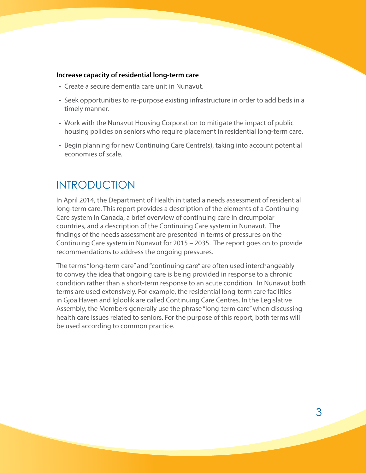#### <span id="page-5-0"></span>**Increase capacity of residential long-term care**

- Create a secure dementia care unit in Nunavut.
- • Seek opportunities to re-purpose existing infrastructure in order to add beds in a timely manner.
- • Work with the Nunavut Housing Corporation to mitigate the impact of public housing policies on seniors who require placement in residential long-term care.
- • Begin planning for new Continuing Care Centre(s), taking into account potential economies of scale.

## INTRODUCTION

In April 2014, the Department of Health initiated a needs assessment of residential long-term care. This report provides a description of the elements of a Continuing Care system in Canada, a brief overview of continuing care in circumpolar countries, and a description of the Continuing Care system in Nunavut. The findings of the needs assessment are presented in terms of pressures on the Continuing Care system in Nunavut for 2015 – 2035. The report goes on to provide recommendations to address the ongoing pressures.

The terms "long-term care" and "continuing care" are often used interchangeably to convey the idea that ongoing care is being provided in response to a chronic condition rather than a short-term response to an acute condition. In Nunavut both terms are used extensively. For example, the residential long-term care facilities in Gjoa Haven and Igloolik are called Continuing Care Centres. In the Legislative Assembly, the Members generally use the phrase "long-term care" when discussing health care issues related to seniors. For the purpose of this report, both terms will be used according to common practice.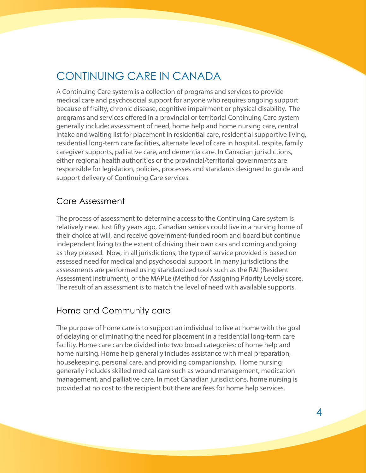## <span id="page-6-0"></span>CONTINUING CARE IN CANADA

A Continuing Care system is a collection of programs and services to provide medical care and psychosocial support for anyone who requires ongoing support because of frailty, chronic disease, cognitive impairment or physical disability. The programs and services offered in a provincial or territorial Continuing Care system generally include: assessment of need, home help and home nursing care, central intake and waiting list for placement in residential care, residential supportive living, residential long-term care facilities, alternate level of care in hospital, respite, family caregiver supports, palliative care, and dementia care. In Canadian jurisdictions, either regional health authorities or the provincial/territorial governments are responsible for legislation, policies, processes and standards designed to guide and support delivery of Continuing Care services.

### Care Assessment

The process of assessment to determine access to the Continuing Care system is relatively new. Just fifty years ago, Canadian seniors could live in a nursing home of their choice at will, and receive government-funded room and board but continue independent living to the extent of driving their own cars and coming and going as they pleased. Now, in all jurisdictions, the type of service provided is based on assessed need for medical and psychosocial support. In many jurisdictions the assessments are performed using standardized tools such as the RAI (Resident Assessment Instrument), or the MAPLe (Method for Assigning Priority Levels) score. The result of an assessment is to match the level of need with available supports.

#### Home and Community care

The purpose of home care is to support an individual to live at home with the goal of delaying or eliminating the need for placement in a residential long-term care facility. Home care can be divided into two broad categories: of home help and home nursing. Home help generally includes assistance with meal preparation, housekeeping, personal care, and providing companionship. Home nursing generally includes skilled medical care such as wound management, medication management, and palliative care. In most Canadian jurisdictions, home nursing is provided at no cost to the recipient but there are fees for home help services.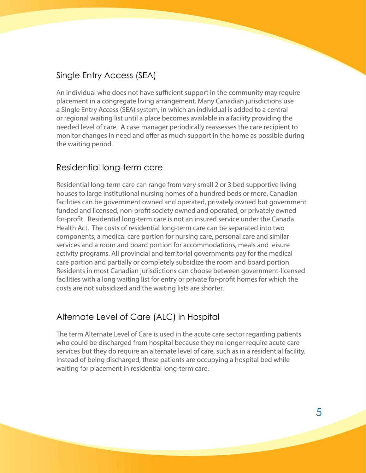### <span id="page-7-0"></span>Single Entry Access (SEA)

An individual who does not have sufficient support in the community may require placement in a congregate living arrangement. Many Canadian jurisdictions use a Single Entry Access (SEA) system, in which an individual is added to a central or regional waiting list until a place becomes available in a facility providing the needed level of care. A case manager periodically reassesses the care recipient to monitor changes in need and offer as much support in the home as possible during the waiting period.

### Residential long-term care

Residential long-term care can range from very small 2 or 3 bed supportive living houses to large institutional nursing homes of a hundred beds or more. Canadian facilities can be government owned and operated, privately owned but government funded and licensed, non-profit society owned and operated, or privately owned for-profit. Residential long-term care is not an insured service under the Canada Health Act. The costs of residential long-term care can be separated into two components; a medical care portion for nursing care, personal care and similar services and a room and board portion for accommodations, meals and leisure activity programs. All provincial and territorial governments pay for the medical care portion and partially or completely subsidize the room and board portion. Residents in most Canadian jurisdictions can choose between government-licensed facilities with a long waiting list for entry or private for-profit homes for which the costs are not subsidized and the waiting lists are shorter.

### Alternate Level of Care (ALC) in Hospital

The term Alternate Level of Care is used in the acute care sector regarding patients who could be discharged from hospital because they no longer require acute care services but they do require an alternate level of care, such as in a residential facility. Instead of being discharged, these patients are occupying a hospital bed while waiting for placement in residential long-term care.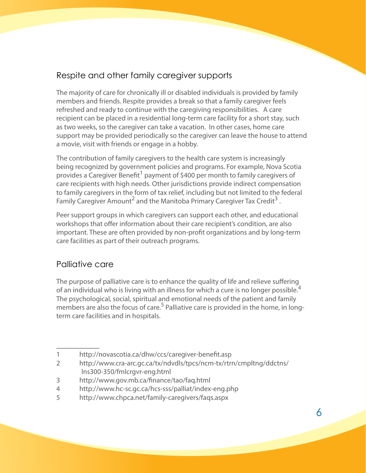### <span id="page-8-0"></span>Respite and other family caregiver supports

The majority of care for chronically ill or disabled individuals is provided by family members and friends. Respite provides a break so that a family caregiver feels refreshed and ready to continue with the caregiving responsibilities. A care recipient can be placed in a residential long-term care facility for a short stay, such as two weeks, so the caregiver can take a vacation. In other cases, home care support may be provided periodically so the caregiver can leave the house to attend a movie, visit with friends or engage in a hobby.

The contribution of family caregivers to the health care system is increasingly being recognized by government policies and programs. For example, Nova Scotia provides a Caregiver Benefit<sup>1</sup> payment of \$400 per month to family caregivers of care recipients with high needs. Other jurisdictions provide indirect compensation to family caregivers in the form of tax relief, including but not limited to the federal Family Caregiver Amount<sup>2</sup> and the Manitoba Primary Caregiver Tax Credit<sup>3</sup>.

Peer support groups in which caregivers can support each other, and educational workshops that offer information about their care recipient's condition, are also important. These are often provided by non-profit organizations and by long-term care facilities as part of their outreach programs.

### Palliative care

The purpose of palliative care is to enhance the quality of life and relieve suffering of an individual who is living with an illness for which a cure is no longer possible.<sup>4</sup> The psychological, social, spiritual and emotional needs of the patient and family members are also the focus of care.<sup>5</sup> Palliative care is provided in the home, in longterm care facilities and in hospitals.

3 http://www.gov.mb.ca/finance/tao/faq.html

<sup>1</sup> http://novascotia.ca/dhw/ccs/caregiver-benefit.asp

<sup>2</sup> http://www.cra-arc.gc.ca/tx/ndvdls/tpcs/ncm-tx/rtrn/cmpltng/ddctns/ lns300-350/fmlcrgvr-eng.html

<sup>4</sup> http://www.hc-sc.gc.ca/hcs-sss/palliat/index-eng.php

<sup>5</sup> http://www.chpca.net/family-caregivers/faqs.aspx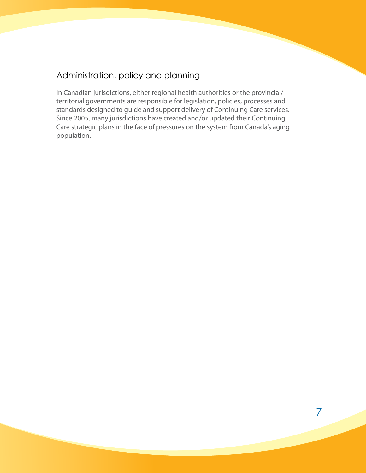### <span id="page-9-0"></span>Administration, policy and planning

In Canadian jurisdictions, either regional health authorities or the provincial/ territorial governments are responsible for legislation, policies, processes and standards designed to guide and support delivery of Continuing Care services. Since 2005, many jurisdictions have created and/or updated their Continuing Care strategic plans in the face of pressures on the system from Canada's aging population.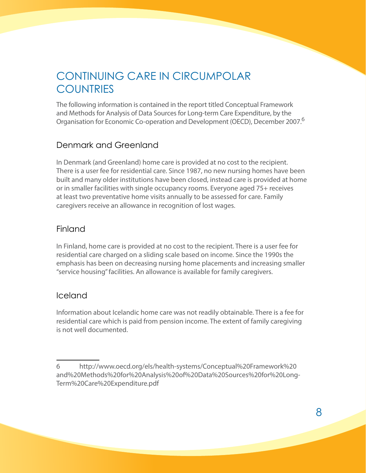## <span id="page-10-0"></span>CONTINUING CARE IN CIRCUMPOLAR **COUNTRIES**

The following information is contained in the report titled Conceptual Framework and Methods for Analysis of Data Sources for Long-term Care Expenditure, by the Organisation for Economic Co-operation and Development (OECD), December 2007.6

### Denmark and Greenland

In Denmark (and Greenland) home care is provided at no cost to the recipient. There is a user fee for residential care. Since 1987, no new nursing homes have been built and many older institutions have been closed, instead care is provided at home or in smaller facilities with single occupancy rooms. Everyone aged 75+ receives at least two preventative home visits annually to be assessed for care. Family caregivers receive an allowance in recognition of lost wages.

### Finland

In Finland, home care is provided at no cost to the recipient. There is a user fee for residential care charged on a sliding scale based on income. Since the 1990s the emphasis has been on decreasing nursing home placements and increasing smaller "service housing" facilities. An allowance is available for family caregivers.

### Iceland

Information about Icelandic home care was not readily obtainable. There is a fee for residential care which is paid from pension income. The extent of family caregiving is not well documented.

<sup>6</sup> http://www.oecd.org/els/health-systems/Conceptual%20Framework%20 and%20Methods%20for%20Analysis%20of%20Data%20Sources%20for%20Long-Term%20Care%20Expenditure.pdf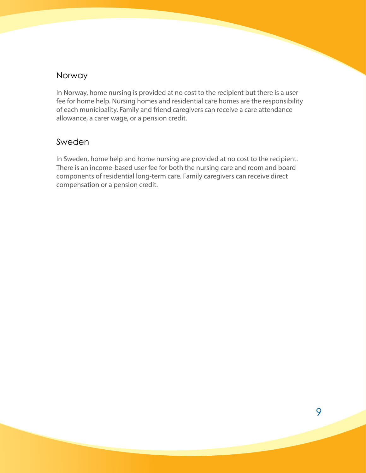### <span id="page-11-0"></span>Norway

In Norway, home nursing is provided at no cost to the recipient but there is a user fee for home help. Nursing homes and residential care homes are the responsibility of each municipality. Family and friend caregivers can receive a care attendance allowance, a carer wage, or a pension credit.

### Sweden

In Sweden, home help and home nursing are provided at no cost to the recipient. There is an income-based user fee for both the nursing care and room and board components of residential long-term care. Family caregivers can receive direct compensation or a pension credit.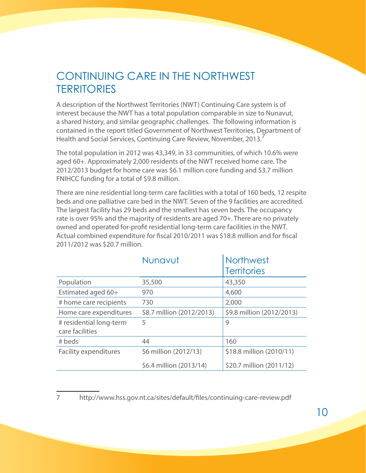## <span id="page-12-0"></span>CONTINUING CARE IN THE NORTHWEST **TERRITORIES**

A description of the Northwest Territories (NWT) Continuing Care system is of interest because the NWT has a total population comparable in size to Nunavut, a shared history, and similar geographic challenges. The following information is contained in the report titled Government of Northwest Territories, Department of Health and Social Services, Continuing Care Review, November, 2013.

The total population in 2012 was 43,349, in 33 communities, of which 10.6% were aged 60+. Approximately 2,000 residents of the NWT received home care. The 2012/2013 budget for home care was \$6.1 million core funding and \$3.7 million FNIHCC funding for a total of \$9.8 million.

There are nine residential long-term care facilities with a total of 160 beds, 12 respite beds and one palliative care bed in the NWT. Seven of the 9 facilities are accredited. The largest facility has 29 beds and the smallest has seven beds. The occupancy rate is over 95% and the majority of residents are aged 70+. There are no privately owned and operated for-profit residential long-term care facilities in the NWT. Actual combined expenditure for fiscal 2010/2011 was \$18.8 million and for fiscal 2011/2012 was \$20.7 million.

|                                            | Nunavut                   | <b>Northwest</b>          |
|--------------------------------------------|---------------------------|---------------------------|
|                                            |                           | <b>Territories</b>        |
| Population                                 | 35,500                    | 43,350                    |
| Estimated aged 60+                         | 970                       | 4,600                     |
| # home care recipients                     | 730                       | 2,000                     |
| Home care expenditures                     | \$8.7 million (2012/2013) | \$9.8 million (2012/2013) |
| # residential long-term<br>care facilities | 5                         | 9                         |
| # beds                                     | 44                        | 160                       |
| <b>Facility expenditures</b>               | \$6 million (2012/13)     | \$18.8 million (2010/11)  |
|                                            | \$6.4 million (2013/14)   | \$20.7 million (2011/12)  |

7 http://www.hss.gov.nt.ca/sites/default/files/continuing-care-review.pdf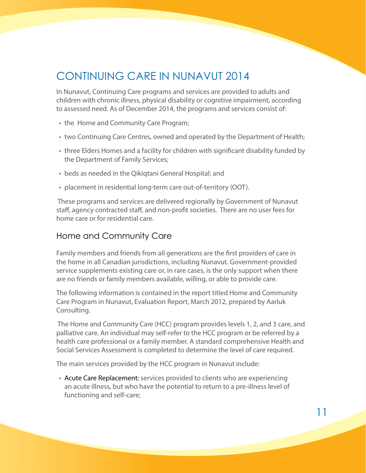## <span id="page-13-0"></span>CONTINUING CARE IN NUNAVUT 2014

In Nunavut, Continuing Care programs and services are provided to adults and children with chronic illness, physical disability or cognitive impairment, according to assessed need. As of December 2014, the programs and services consist of:

- the Home and Community Care Program;
- • two Continuing Care Centres, owned and operated by the Department of Health;
- three Elders Homes and a facility for children with significant disability funded by the Department of Family Services;
- beds as needed in the Qikiqtani General Hospital; and
- placement in residential long-term care out-of-territory (OOT).

 These programs and services are delivered regionally by Government of Nunavut staff, agency contracted staff, and non-profit societies. There are no user fees for home care or for residential care.

### Home and Community Care

Family members and friends from all generations are the first providers of care in the home in all Canadian jurisdictions, including Nunavut. Government-provided service supplements existing care or, in rare cases, is the only support when there are no friends or family members available, willing, or able to provide care.

The following information is contained in the report titled Home and Community Care Program in Nunavut, Evaluation Report, March 2012, prepared by Aarluk Consulting.

 The Home and Community Care (HCC) program provides levels 1, 2, and 3 care, and palliative care. An individual may self-refer to the HCC program or be referred by a health care professional or a family member. A standard comprehensive Health and Social Services Assessment is completed to determine the level of care required.

The main services provided by the HCC program in Nunavut include:

• Acute Care Replacement: services provided to clients who are experiencing an acute illness, but who have the potential to return to a pre-illness level of functioning and self-care;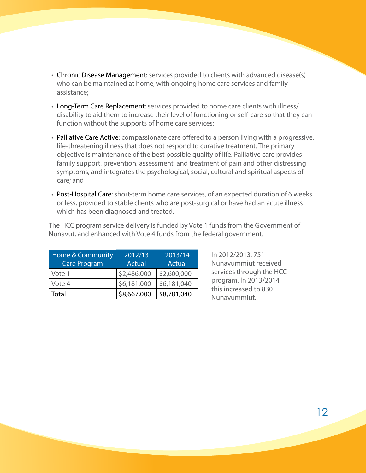- Chronic Disease Management: services provided to clients with advanced disease(s) who can be maintained at home, with ongoing home care services and family assistance;
- Long-Term Care Replacement: services provided to home care clients with illness/ disability to aid them to increase their level of functioning or self-care so that they can function without the supports of home care services;
- Palliative Care Active: compassionate care offered to a person living with a progressive, life-threatening illness that does not respond to curative treatment. The primary objective is maintenance of the best possible quality of life. Palliative care provides family support, prevention, assessment, and treatment of pain and other distressing symptoms, and integrates the psychological, social, cultural and spiritual aspects of care; and
- Post-Hospital Care: short-term home care services, of an expected duration of 6 weeks or less, provided to stable clients who are post-surgical or have had an acute illness which has been diagnosed and treated.

The HCC program service delivery is funded by Vote 1 funds from the Government of Nunavut, and enhanced with Vote 4 funds from the federal government.

| <b>Home &amp; Community</b> | 2012/13     | 2013/14     |
|-----------------------------|-------------|-------------|
| <b>Care Program</b>         | Actual      | Actual      |
| Vote 1                      | \$2,486,000 | \$2,600,000 |
| Vote 4                      | \$6,181,000 | \$6,181,040 |
| Total                       | \$8,667,000 | \$8,781,040 |

In 2012/2013, 751 Nunavummiut received services through the HCC program. In 2013/2014 this increased to 830 Nunavummiut.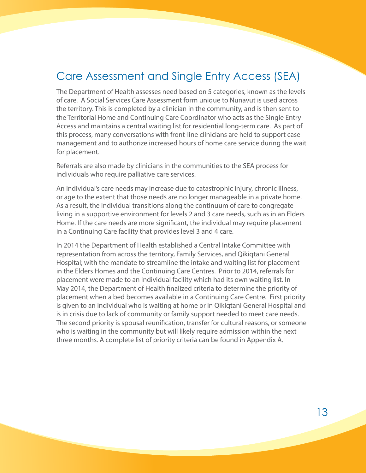## <span id="page-15-0"></span>Care Assessment and Single Entry Access (SEA)

The Department of Health assesses need based on 5 categories, known as the levels of care. A Social Services Care Assessment form unique to Nunavut is used across the territory. This is completed by a clinician in the community, and is then sent to the Territorial Home and Continuing Care Coordinator who acts as the Single Entry Access and maintains a central waiting list for residential long-term care. As part of this process, many conversations with front-line clinicians are held to support case management and to authorize increased hours of home care service during the wait for placement.

Referrals are also made by clinicians in the communities to the SEA process for individuals who require palliative care services.

An individual's care needs may increase due to catastrophic injury, chronic illness, or age to the extent that those needs are no longer manageable in a private home. As a result, the individual transitions along the continuum of care to congregate living in a supportive environment for levels 2 and 3 care needs, such as in an Elders Home. If the care needs are more significant, the individual may require placement in a Continuing Care facility that provides level 3 and 4 care.

In 2014 the Department of Health established a Central Intake Committee with representation from across the territory, Family Services, and Qikiqtani General Hospital; with the mandate to streamline the intake and waiting list for placement in the Elders Homes and the Continuing Care Centres. Prior to 2014, referrals for placement were made to an individual facility which had its own waiting list. In May 2014, the Department of Health finalized criteria to determine the priority of placement when a bed becomes available in a Continuing Care Centre. First priority is given to an individual who is waiting at home or in Qikiqtani General Hospital and is in crisis due to lack of community or family support needed to meet care needs. The second priority is spousal reunification, transfer for cultural reasons, or someone who is waiting in the community but will likely require admission within the next three months. A complete list of priority criteria can be found in Appendix A.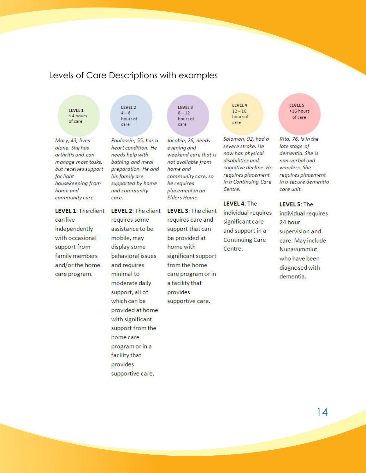### <span id="page-16-0"></span>Levels of Care Descriptions with examples

LEVEL 1 <4 hours of care

Mary, 43, lives alone. She has arthritis and can manage most tasks, but receives support for light housekeeping from home and community care.

**LEVEL 1: The client** can live independently with occasional support from family members and/or the home care program.

LEVEL 2  $4 - 8$ hours of care

Pauloosie, 55, has a heart condition. He needs help with bathing and meal preparation. He and his family are supported by home and community care.

**LEVEL 2: The client** requires some assistance to be mobile, may display some behavioral issues and requires minimal to moderate daily support, all of which can be provided at home with significant support from the home care program or in a facility that provides supportive care.

LEVEL 3  $8 - 12$ hours of care

Jacobie, 26, needs evening and weekend care that is not available from home and community care, so he requires placement in an Elders Home.

**LEVEL 3: The client** requires care and support that can be provided at home with significant support from the home care program or in a facility that provides supportive care.

LEVEL 4  $12 - 16$ hours of care

Solomon, 92, had a severe stroke. He now has physical disabilities and cognitive decline. He requires placement in a Continuing Care Centre.

LEVEL 4: The individual requires significant care and support in a **Continuing Care** Centre.

LEVEL 5 >16 hours of care

Rita, 76, is in the late stage of dementia. She is non-verbal and wanders. She requires placement in a secure dementia care unit.

LEVEL 5: The individual requires 24 hour supervision and care. May include Nunavummiut who have been diagnosed with dementia.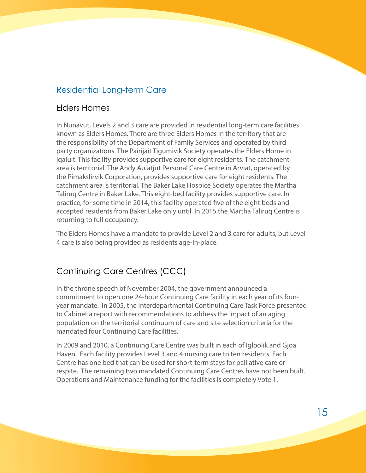### <span id="page-17-0"></span>Residential Long-term Care

### Elders Homes

In Nunavut, Levels 2 and 3 care are provided in residential long-term care facilities known as Elders Homes. There are three Elders Homes in the territory that are the responsibility of the Department of Family Services and operated by third party organizations. The Pairijait Tigumivik Society operates the Elders Home in Iqaluit. This facility provides supportive care for eight residents. The catchment area is territorial. The Andy Aulatjut Personal Care Centre in Arviat, operated by the Pimakslirvik Corporation, provides supportive care for eight residents. The catchment area is territorial. The Baker Lake Hospice Society operates the Martha Taliruq Centre in Baker Lake. This eight-bed facility provides supportive care. In practice, for some time in 2014, this facility operated five of the eight beds and accepted residents from Baker Lake only until. In 2015 the Martha Taliruq Centre is returning to full occupancy.

The Elders Homes have a mandate to provide Level 2 and 3 care for adults, but Level 4 care is also being provided as residents age-in-place.

### Continuing Care Centres (CCC)

In the throne speech of November 2004, the government announced a commitment to open one 24-hour Continuing Care facility in each year of its fouryear mandate. In 2005, the Interdepartmental Continuing Care Task Force presented to Cabinet a report with recommendations to address the impact of an aging population on the territorial continuum of care and site selection criteria for the mandated four Continuing Care facilities.

In 2009 and 2010, a Continuing Care Centre was built in each of Igloolik and Gjoa Haven. Each facility provides Level 3 and 4 nursing care to ten residents. Each Centre has one bed that can be used for short-term stays for palliative care or respite. The remaining two mandated Continuing Care Centres have not been built. Operations and Maintenance funding for the facilities is completely Vote 1.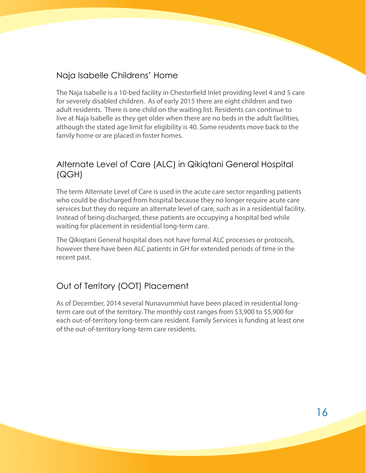### <span id="page-18-0"></span>Naja Isabelle Childrens' Home

The Naja Isabelle is a 10-bed facility in Chesterfield Inlet providing level 4 and 5 care for severely disabled children. As of early 2015 there are eight children and two adult residents. There is one child on the waiting list. Residents can continue to live at Naja Isabelle as they get older when there are no beds in the adult facilities, although the stated age limit for eligibility is 40. Some residents move back to the family home or are placed in foster homes.

### Alternate Level of Care (ALC) in Qikiqtani General Hospital (QGH)

The term Alternate Level of Care is used in the acute care sector regarding patients who could be discharged from hospital because they no longer require acute care services but they do require an alternate level of care, such as in a residential facility. Instead of being discharged, these patients are occupying a hospital bed while waiting for placement in residential long-term care.

The Qikiqtani General hospital does not have formal ALC processes or protocols, however there have been ALC patients in GH for extended periods of time in the recent past.

### Out of Territory (OOT) Placement

As of December, 2014 several Nunavummiut have been placed in residential longterm care out of the territory. The monthly cost ranges from \$3,900 to \$5,900 for each out-of-territory long-term care resident. Family Services is funding at least one of the out-of-territory long-term care residents.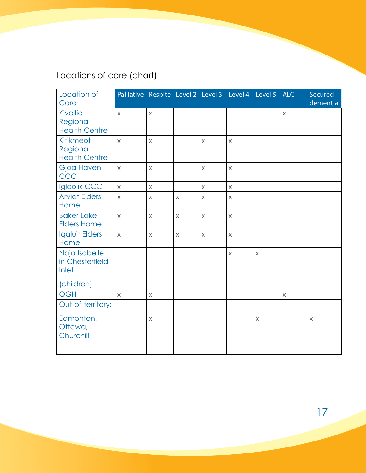## <span id="page-19-0"></span>Locations of care (chart)

| Location of<br>Care                                     | Palliative Respite Level 2 Level 3 Level 4 Level 5 ALC |                         |             |                         |              |              |             | Secured<br>dementia |
|---------------------------------------------------------|--------------------------------------------------------|-------------------------|-------------|-------------------------|--------------|--------------|-------------|---------------------|
| Kivallig<br>Regional<br><b>Health Centre</b>            | $\overline{X}$                                         | $\mathsf X$             |             |                         |              |              | $\mathsf X$ |                     |
| Kitikmeot<br>Regional<br><b>Health Centre</b>           | $\overline{\mathsf{X}}$                                | $\mathsf X$             |             | $\overline{\mathsf{X}}$ | $\mathsf X$  |              |             |                     |
| <b>Gjoa Haven</b><br>CCC                                | $\times$                                               | $\mathsf X$             |             | $\mathsf{X}$            | $\mathsf{X}$ |              |             |                     |
| <b>Igloolik CCC</b>                                     | $\overline{\mathsf{X}}$                                | $\overline{\mathsf{X}}$ |             | $\overline{\mathsf{X}}$ | $\mathsf{X}$ |              |             |                     |
| <b>Arviat Elders</b><br>Home                            | $\overline{\mathsf{X}}$                                | $\mathsf X$             | $\mathsf X$ | $\mathsf{X}$            | $\mathsf{X}$ |              |             |                     |
| <b>Baker Lake</b><br><b>Elders Home</b>                 | $\overline{\mathsf{X}}$                                | $\mathsf{X}$            | $\mathsf X$ | $\overline{X}$          | $\mathsf X$  |              |             |                     |
| <b>Igaluit Elders</b><br>Home                           | $\overline{\mathsf{X}}$                                | $\mathsf{X}$            | $\mathsf X$ | $\overline{\mathsf{X}}$ | $\mathsf{X}$ |              |             |                     |
| Naja Isabelle<br>in Chesterfield<br>Inlet<br>(children) |                                                        |                         |             |                         | $\mathsf{X}$ | $\mathsf{X}$ |             |                     |
| <b>QGH</b>                                              | $\mathsf{X}$                                           | $\mathsf X$             |             |                         |              |              | $\mathsf X$ |                     |
| Out-of-territory:<br>Edmonton,<br>Ottawa,<br>Churchill  |                                                        | X                       |             |                         |              | $\times$     |             | $\times$            |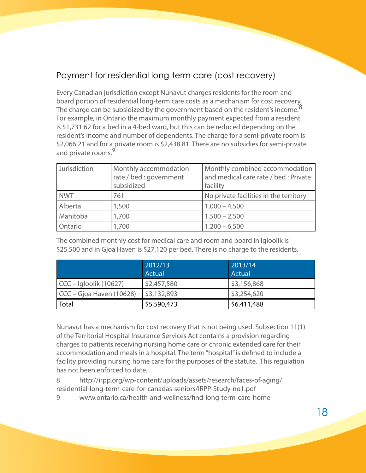### <span id="page-20-0"></span>Payment for residential long-term care (cost recovery)

Every Canadian jurisdiction except Nunavut charges residents for the room and board portion of residential long-term care costs as a mechanism for cost recovery. The charge can be subsidized by the government based on the resident's income.<sup>8</sup> For example, in Ontario the maximum monthly payment expected from a resident is \$1,731.62 for a bed in a 4-bed ward, but this can be reduced depending on the resident's income and number of dependents. The charge for a semi-private room is \$2,066.21 and for a private room is \$2,438.81. There are no subsidies for semi-private and private rooms.<sup>9</sup>

| Jurisdiction | Monthly accommodation<br>rate / bed : government<br>subsidized | Monthly combined accommodation<br>and medical care rate / bed : Private<br>facility |
|--------------|----------------------------------------------------------------|-------------------------------------------------------------------------------------|
| <b>NWT</b>   | 761                                                            | No private facilities in the territory                                              |
| Alberta      | 1,500                                                          | $1,000 - 4,500$                                                                     |
| Manitoba     | 1,700                                                          | $1,500 - 2,500$                                                                     |
| Ontario      | 1,700                                                          | $1,200 - 6,500$                                                                     |

The combined monthly cost for medical care and room and board in Igloolik is \$25,500 and in Gjoa Haven is \$27,120 per bed. There is no charge to the residents.

|                            | 2012/13<br>Actual | 2013/14<br>Actual |
|----------------------------|-------------------|-------------------|
| $CCC - Igloolik (10627)$   | \$2,457,580       | \$3,156,868       |
| $CCC - Gjoa Haven (10628)$ | \$3,132,893       | \$3,254,620       |
| Total                      | \$5,590,473       | \$6,411,488       |

Nunavut has a mechanism for cost recovery that is not being used. Subsection 11(1) of the Territorial Hospital Insurance Services Act contains a provision regarding charges to patients receiving nursing home care or chronic extended care for their accommodation and meals in a hospital. The term "hospital" is defined to include a facility providing nursing home care for the purposes of the statute. This regulation has not been enforced to date.

8 http://irpp.org/wp-content/uploads/assets/research/faces-of-aging/ residential-long-term-care-for-canadas-seniors/IRPP-Study-no1.pdf

www.ontario.ca/health-and-wellness/find-long-term-care-home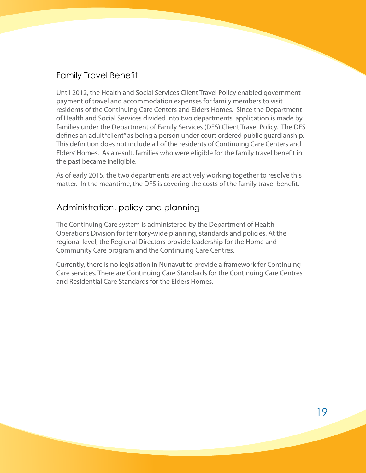### <span id="page-21-0"></span>Family Travel Benefit

Until 2012, the Health and Social Services Client Travel Policy enabled government payment of travel and accommodation expenses for family members to visit residents of the Continuing Care Centers and Elders Homes. Since the Department of Health and Social Services divided into two departments, application is made by families under the Department of Family Services (DFS) Client Travel Policy. The DFS defines an adult "client" as being a person under court ordered public guardianship. This definition does not include all of the residents of Continuing Care Centers and Elders' Homes. As a result, families who were eligible for the family travel benefit in the past became ineligible.

As of early 2015, the two departments are actively working together to resolve this matter. In the meantime, the DFS is covering the costs of the family travel benefit.

### Administration, policy and planning

The Continuing Care system is administered by the Department of Health – Operations Division for territory-wide planning, standards and policies. At the regional level, the Regional Directors provide leadership for the Home and Community Care program and the Continuing Care Centres.

Currently, there is no legislation in Nunavut to provide a framework for Continuing Care services. There are Continuing Care Standards for the Continuing Care Centres and Residential Care Standards for the Elders Homes.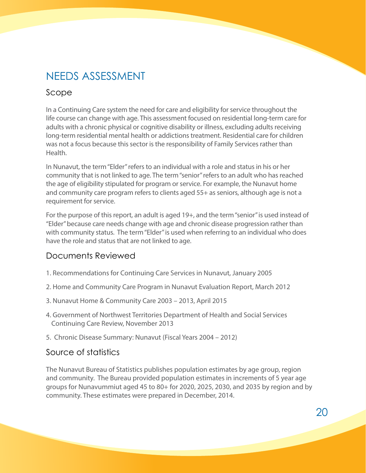## <span id="page-22-0"></span>NEEDS ASSESSMENT

### Scope

In a Continuing Care system the need for care and eligibility for service throughout the life course can change with age. This assessment focused on residential long-term care for adults with a chronic physical or cognitive disability or illness, excluding adults receiving long-term residential mental health or addictions treatment. Residential care for children was not a focus because this sector is the responsibility of Family Services rather than Health.

In Nunavut, the term "Elder" refers to an individual with a role and status in his or her community that is not linked to age. The term "senior" refers to an adult who has reached the age of eligibility stipulated for program or service. For example, the Nunavut home and community care program refers to clients aged 55+ as seniors, although age is not a requirement for service.

For the purpose of this report, an adult is aged 19+, and the term "senior" is used instead of "Elder" because care needs change with age and chronic disease progression rather than with community status. The term "Elder" is used when referring to an individual who does have the role and status that are not linked to age.

### Documents Reviewed

- 1. Recommendations for Continuing Care Services in Nunavut, January 2005
- 2. Home and Community Care Program in Nunavut Evaluation Report, March 2012
- 3. Nunavut Home & Community Care 2003 2013, April 2015
- 4. Government of Northwest Territories Department of Health and Social Services Continuing Care Review, November 2013
- 5. Chronic Disease Summary: Nunavut (Fiscal Years 2004 2012)

### Source of statistics

The Nunavut Bureau of Statistics publishes population estimates by age group, region and community. The Bureau provided population estimates in increments of 5 year age groups for Nunavummiut aged 45 to 80+ for 2020, 2025, 2030, and 2035 by region and by community. These estimates were prepared in December, 2014.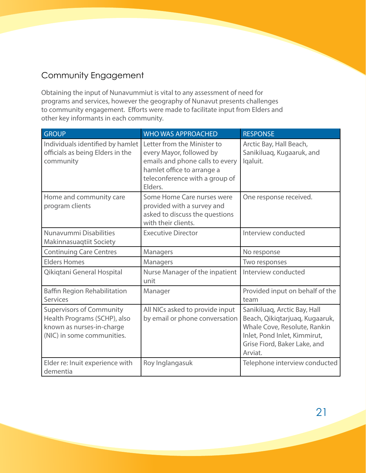### <span id="page-23-0"></span>Community Engagement

Obtaining the input of Nunavummiut is vital to any assessment of need for programs and services, however the geography of Nunavut presents challenges to community engagement. Efforts were made to facilitate input from Elders and other key informants in each community.

| <b>GROUP</b>                                                                                                               | <b>WHO WAS APPROACHED</b>                                                                                                                                             | <b>RESPONSE</b>                                                                                                                                                           |
|----------------------------------------------------------------------------------------------------------------------------|-----------------------------------------------------------------------------------------------------------------------------------------------------------------------|---------------------------------------------------------------------------------------------------------------------------------------------------------------------------|
| Individuals identified by hamlet<br>officials as being Elders in the<br>community                                          | Letter from the Minister to<br>every Mayor, followed by<br>emails and phone calls to every<br>hamlet office to arrange a<br>teleconference with a group of<br>Elders. | Arctic Bay, Hall Beach,<br>Sanikiluaq, Kugaaruk, and<br>Iqaluit.                                                                                                          |
| Home and community care<br>program clients                                                                                 | Some Home Care nurses were<br>provided with a survey and<br>asked to discuss the questions<br>with their clients.                                                     | One response received.                                                                                                                                                    |
| Nunavummi Disabilities<br><b>Makinnasuaqtiit Society</b>                                                                   | <b>Executive Director</b>                                                                                                                                             | Interview conducted                                                                                                                                                       |
| <b>Continuing Care Centres</b>                                                                                             | Managers                                                                                                                                                              | No response                                                                                                                                                               |
| <b>Elders Homes</b>                                                                                                        | Managers                                                                                                                                                              | Two responses                                                                                                                                                             |
| Qikiqtani General Hospital                                                                                                 | Nurse Manager of the inpatient<br>unit                                                                                                                                | Interview conducted                                                                                                                                                       |
| Baffin Region Rehabilitation<br><b>Services</b>                                                                            | Manager                                                                                                                                                               | Provided input on behalf of the<br>team                                                                                                                                   |
| <b>Supervisors of Community</b><br>Health Programs (SCHP), also<br>known as nurses-in-charge<br>(NIC) in some communities. | All NICs asked to provide input<br>by email or phone conversation                                                                                                     | Sanikiluaq, Arctic Bay, Hall<br>Beach, Qikiqtarjuaq, Kugaaruk,<br>Whale Cove, Resolute, Rankin<br>Inlet, Pond Inlet, Kimmirut,<br>Grise Fiord, Baker Lake, and<br>Arviat. |
| Elder re: Inuit experience with<br>dementia                                                                                | Roy Inglangasuk                                                                                                                                                       | Telephone interview conducted                                                                                                                                             |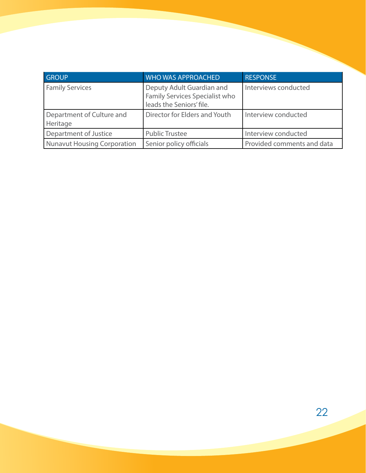| <b>GROUP</b>                          | <b>WHO WAS APPROACHED</b>                                                               | <b>RESPONSE</b>            |
|---------------------------------------|-----------------------------------------------------------------------------------------|----------------------------|
| <b>Family Services</b>                | Deputy Adult Guardian and<br>Family Services Specialist who<br>leads the Seniors' file. | Interviews conducted       |
| Department of Culture and<br>Heritage | Director for Elders and Youth                                                           | Interview conducted        |
| Department of Justice                 | <b>Public Trustee</b>                                                                   | Interview conducted        |
| Nunavut Housing Corporation           | Senior policy officials                                                                 | Provided comments and data |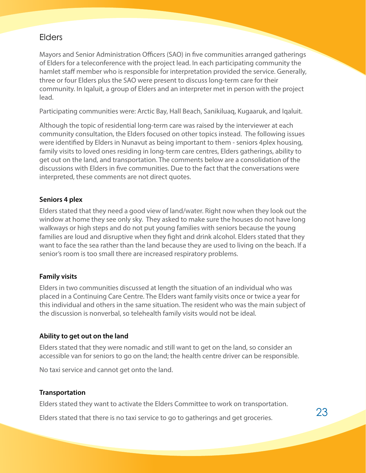### <span id="page-25-0"></span>Elders

Mayors and Senior Administration Officers (SAO) in five communities arranged gatherings of Elders for a teleconference with the project lead. In each participating community the hamlet staff member who is responsible for interpretation provided the service. Generally, three or four Elders plus the SAO were present to discuss long-term care for their community. In Iqaluit, a group of Elders and an interpreter met in person with the project lead.

Participating communities were: Arctic Bay, Hall Beach, Sanikiluaq, Kugaaruk, and Iqaluit.

Although the topic of residential long-term care was raised by the interviewer at each community consultation, the Elders focused on other topics instead. The following issues were identified by Elders in Nunavut as being important to them - seniors 4plex housing, family visits to loved ones residing in long-term care centres, Elders gatherings, ability to get out on the land, and transportation. The comments below are a consolidation of the discussions with Elders in five communities. Due to the fact that the conversations were interpreted, these comments are not direct quotes.

#### **Seniors 4 plex**

Elders stated that they need a good view of land/water. Right now when they look out the window at home they see only sky. They asked to make sure the houses do not have long walkways or high steps and do not put young families with seniors because the young families are loud and disruptive when they fight and drink alcohol. Elders stated that they want to face the sea rather than the land because they are used to living on the beach. If a senior's room is too small there are increased respiratory problems.

#### **Family visits**

Elders in two communities discussed at length the situation of an individual who was placed in a Continuing Care Centre. The Elders want family visits once or twice a year for this individual and others in the same situation. The resident who was the main subject of the discussion is nonverbal, so telehealth family visits would not be ideal.

#### **Ability to get out on the land**

Elders stated that they were nomadic and still want to get on the land, so consider an accessible van for seniors to go on the land; the health centre driver can be responsible.

No taxi service and cannot get onto the land.

#### **Transportation**

Elders stated they want to activate the Elders Committee to work on transportation.

Elders stated that there is no taxi service to go to gatherings and get groceries.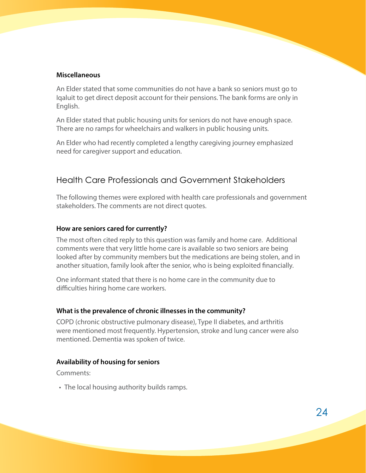#### <span id="page-26-0"></span>**Miscellaneous**

An Elder stated that some communities do not have a bank so seniors must go to Iqaluit to get direct deposit account for their pensions. The bank forms are only in English.

An Elder stated that public housing units for seniors do not have enough space. There are no ramps for wheelchairs and walkers in public housing units.

An Elder who had recently completed a lengthy caregiving journey emphasized need for caregiver support and education.

### Health Care Professionals and Government Stakeholders

The following themes were explored with health care professionals and government stakeholders. The comments are not direct quotes.

#### **How are seniors cared for currently?**

The most often cited reply to this question was family and home care. Additional comments were that very little home care is available so two seniors are being looked after by community members but the medications are being stolen, and in another situation, family look after the senior, who is being exploited financially.

One informant stated that there is no home care in the community due to difficulties hiring home care workers.

#### **What is the prevalence of chronic illnesses in the community?**

COPD (chronic obstructive pulmonary disease), Type II diabetes, and arthritis were mentioned most frequently. Hypertension, stroke and lung cancer were also mentioned. Dementia was spoken of twice.

#### **Availability of housing for seniors**

Comments:

• The local housing authority builds ramps.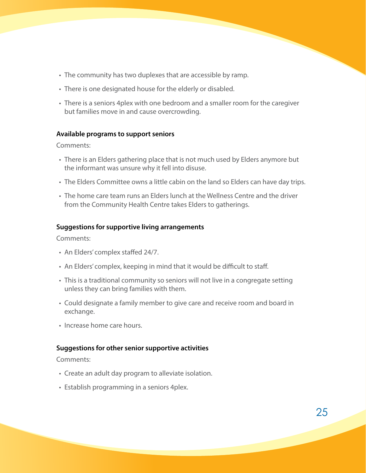- The community has two duplexes that are accessible by ramp.
- There is one designated house for the elderly or disabled.
- There is a seniors 4plex with one bedroom and a smaller room for the caregiver but families move in and cause overcrowding.

#### **Available programs to support seniors**

Comments:

- There is an Elders gathering place that is not much used by Elders anymore but the informant was unsure why it fell into disuse.
- The Elders Committee owns a little cabin on the land so Elders can have day trips.
- The home care team runs an Elders lunch at the Wellness Centre and the driver from the Community Health Centre takes Elders to gatherings.

#### **Suggestions for supportive living arrangements**

Comments:

- An Elders' complex staffed 24/7.
- An Elders' complex, keeping in mind that it would be difficult to staff.
- This is a traditional community so seniors will not live in a congregate setting unless they can bring families with them.
- Could designate a family member to give care and receive room and board in exchange.
- Increase home care hours.

#### **Suggestions for other senior supportive activities**

Comments:

- Create an adult day program to alleviate isolation.
- Establish programming in a seniors 4 plex.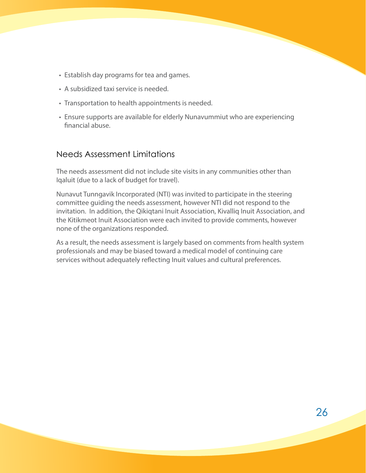- <span id="page-28-0"></span>• Establish day programs for tea and games.
- A subsidized taxi service is needed.
- Transportation to health appointments is needed.
- Ensure supports are available for elderly Nunavummiut who are experiencing financial abuse.

### Needs Assessment Limitations

The needs assessment did not include site visits in any communities other than Iqaluit (due to a lack of budget for travel).

Nunavut Tunngavik Incorporated (NTI) was invited to participate in the steering committee guiding the needs assessment, however NTI did not respond to the invitation. In addition, the Qikiqtani Inuit Association, Kivalliq Inuit Association, and the Kitikmeot Inuit Association were each invited to provide comments, however none of the organizations responded.

As a result, the needs assessment is largely based on comments from health system professionals and may be biased toward a medical model of continuing care services without adequately reflecting Inuit values and cultural preferences.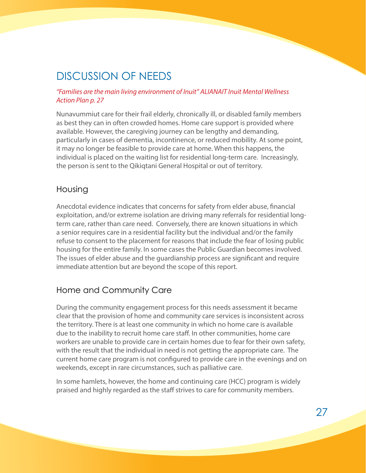## <span id="page-29-0"></span>DISCUSSION OF NEEDS

#### *"Families are the main living environment of Inuit" ALIANAIT Inuit Mental Wellness Action Plan p. 27*

Nunavummiut care for their frail elderly, chronically ill, or disabled family members as best they can in often crowded homes. Home care support is provided where available. However, the caregiving journey can be lengthy and demanding, particularly in cases of dementia, incontinence, or reduced mobility. At some point, it may no longer be feasible to provide care at home. When this happens, the individual is placed on the waiting list for residential long-term care. Increasingly, the person is sent to the Qikiqtani General Hospital or out of territory.

### Housing

Anecdotal evidence indicates that concerns for safety from elder abuse, financial exploitation, and/or extreme isolation are driving many referrals for residential longterm care, rather than care need. Conversely, there are known situations in which a senior requires care in a residential facility but the individual and/or the family refuse to consent to the placement for reasons that include the fear of losing public housing for the entire family. In some cases the Public Guardian becomes involved. The issues of elder abuse and the guardianship process are significant and require immediate attention but are beyond the scope of this report.

### Home and Community Care

During the community engagement process for this needs assessment it became clear that the provision of home and community care services is inconsistent across the territory. There is at least one community in which no home care is available due to the inability to recruit home care staff. In other communities, home care workers are unable to provide care in certain homes due to fear for their own safety, with the result that the individual in need is not getting the appropriate care. The current home care program is not configured to provide care in the evenings and on weekends, except in rare circumstances, such as palliative care.

In some hamlets, however, the home and continuing care (HCC) program is widely praised and highly regarded as the staff strives to care for community members.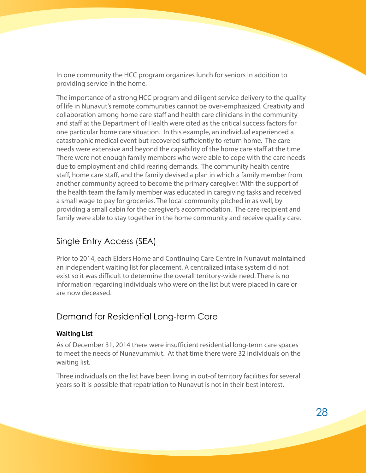<span id="page-30-0"></span>In one community the HCC program organizes lunch for seniors in addition to providing service in the home.

The importance of a strong HCC program and diligent service delivery to the quality of life in Nunavut's remote communities cannot be over-emphasized. Creativity and collaboration among home care staff and health care clinicians in the community and staff at the Department of Health were cited as the critical success factors for one particular home care situation. In this example, an individual experienced a catastrophic medical event but recovered sufficiently to return home. The care needs were extensive and beyond the capability of the home care staff at the time. There were not enough family members who were able to cope with the care needs due to employment and child rearing demands. The community health centre staff, home care staff, and the family devised a plan in which a family member from another community agreed to become the primary caregiver. With the support of the health team the family member was educated in caregiving tasks and received a small wage to pay for groceries. The local community pitched in as well, by providing a small cabin for the caregiver's accommodation. The care recipient and family were able to stay together in the home community and receive quality care.

### Single Entry Access (SEA)

Prior to 2014, each Elders Home and Continuing Care Centre in Nunavut maintained an independent waiting list for placement. A centralized intake system did not exist so it was difficult to determine the overall territory-wide need. There is no information regarding individuals who were on the list but were placed in care or are now deceased.

### Demand for Residential Long-term Care

#### **Waiting List**

As of December 31, 2014 there were insufficient residential long-term care spaces to meet the needs of Nunavummiut. At that time there were 32 individuals on the waiting list.

Three individuals on the list have been living in out-of territory facilities for several years so it is possible that repatriation to Nunavut is not in their best interest.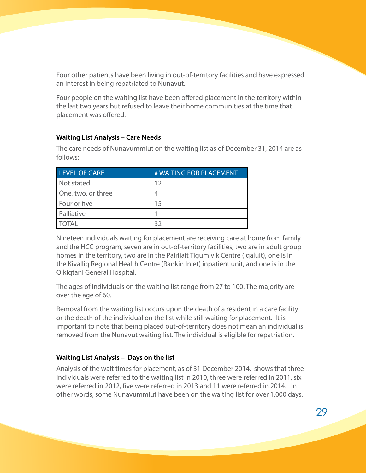Four other patients have been living in out-of-territory facilities and have expressed an interest in being repatriated to Nunavut.

Four people on the waiting list have been offered placement in the territory within the last two years but refused to leave their home communities at the time that placement was offered.

#### **Waiting List Analysis – Care Needs**

The care needs of Nunavummiut on the waiting list as of December 31, 2014 are as follows:

| LEVEL OF CARE      | # WAITING FOR PLACEMENT |
|--------------------|-------------------------|
| Not stated         | 12                      |
| One, two, or three |                         |
| Four or five       | 15                      |
| Palliative         |                         |
| <b>OTAL</b>        |                         |

Nineteen individuals waiting for placement are receiving care at home from family and the HCC program, seven are in out-of-territory facilities, two are in adult group homes in the territory, two are in the Pairijait Tigumivik Centre (Iqaluit), one is in the Kivalliq Regional Health Centre (Rankin Inlet) inpatient unit, and one is in the Qikiqtani General Hospital.

The ages of individuals on the waiting list range from 27 to 100. The majority are over the age of 60.

Removal from the waiting list occurs upon the death of a resident in a care facility or the death of the individual on the list while still waiting for placement. It is important to note that being placed out-of-territory does not mean an individual is removed from the Nunavut waiting list. The individual is eligible for repatriation.

#### **Waiting List Analysis – Days on the list**

Analysis of the wait times for placement, as of 31 December 2014, shows that three individuals were referred to the waiting list in 2010, three were referred in 2011, six were referred in 2012, five were referred in 2013 and 11 were referred in 2014. In other words, some Nunavummiut have been on the waiting list for over 1,000 days.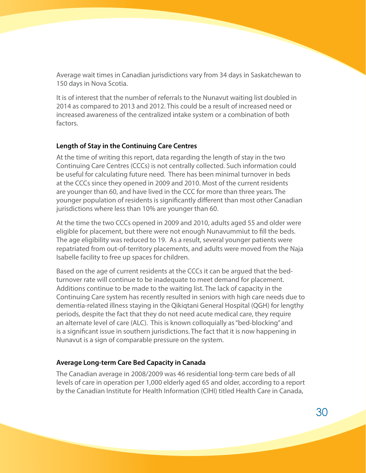Average wait times in Canadian jurisdictions vary from 34 days in Saskatchewan to 150 days in Nova Scotia.

It is of interest that the number of referrals to the Nunavut waiting list doubled in 2014 as compared to 2013 and 2012. This could be a result of increased need or increased awareness of the centralized intake system or a combination of both factors.

#### **Length of Stay in the Continuing Care Centres**

At the time of writing this report, data regarding the length of stay in the two Continuing Care Centres (CCCs) is not centrally collected. Such information could be useful for calculating future need. There has been minimal turnover in beds at the CCCs since they opened in 2009 and 2010. Most of the current residents are younger than 60, and have lived in the CCC for more than three years. The younger population of residents is significantly different than most other Canadian jurisdictions where less than 10% are younger than 60.

At the time the two CCCs opened in 2009 and 2010, adults aged 55 and older were eligible for placement, but there were not enough Nunavummiut to fill the beds. The age eligibility was reduced to 19. As a result, several younger patients were repatriated from out-of-territory placements, and adults were moved from the Naja Isabelle facility to free up spaces for children.

Based on the age of current residents at the CCCs it can be argued that the bedturnover rate will continue to be inadequate to meet demand for placement. Additions continue to be made to the waiting list. The lack of capacity in the Continuing Care system has recently resulted in seniors with high care needs due to dementia-related illness staying in the Qikiqtani General Hospital (QGH) for lengthy periods, despite the fact that they do not need acute medical care, they require an alternate level of care (ALC). This is known colloquially as "bed-blocking" and is a significant issue in southern jurisdictions. The fact that it is now happening in Nunavut is a sign of comparable pressure on the system.

#### **Average Long-term Care Bed Capacity in Canada**

The Canadian average in 2008/2009 was 46 residential long-term care beds of all levels of care in operation per 1,000 elderly aged 65 and older, according to a report by the Canadian Institute for Health Information (CIHI) titled Health Care in Canada,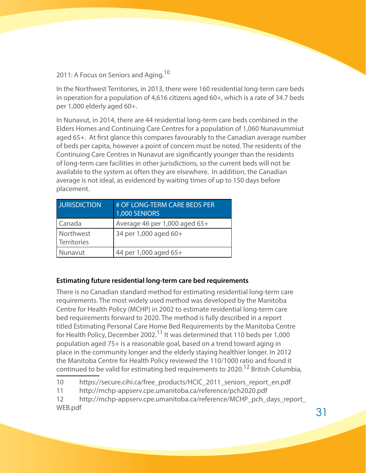2011: A Focus on Seniors and Aging.<sup>10</sup>

In the Northwest Territories, in 2013, there were 160 residential long-term care beds in operation for a population of 4,616 citizens aged 60+, which is a rate of 34.7 beds per 1,000 elderly aged 60+.

In Nunavut, in 2014, there are 44 residential long-term care beds combined in the Elders Homes and Continuing Care Centres for a population of 1,060 Nunavummiut aged 65+. At first glance this compares favourably to the Canadian average number of beds per capita, however a point of concern must be noted. The residents of the Continuing Care Centres in Nunavut are significantly younger than the residents of long-term care facilities in other jurisdictions, so the current beds will not be available to the system as often they are elsewhere. In addition, the Canadian average is not ideal, as evidenced by waiting times of up to 150 days before placement.

| <b>JURISDICTION</b>             | # OF LONG-TERM CARE BEDS PER<br>1,000 SENIORS |
|---------------------------------|-----------------------------------------------|
| Canada                          | Average 46 per 1,000 aged 65+                 |
| Northwest<br><b>Territories</b> | 34 per 1,000 aged 60+                         |
| Nunavut                         | 44 per 1,000 aged 65+                         |

#### **Estimating future residential long-term care bed requirements**

There is no Canadian standard method for estimating residential long-term care requirements. The most widely used method was developed by the Manitoba Centre for Health Policy (MCHP) in 2002 to estimate residential long-term care bed requirements forward to 2020. The method is fully described in a report titled Estimating Personal Care Home Bed Requirements by the Manitoba Centre for Health Policy, December 2002.11 It was determined that 110 beds per 1,000 population aged 75+ is a reasonable goal, based on a trend toward aging in place in the community longer and the elderly staying healthier longer. In 2012 the Manitoba Centre for Health Policy reviewed the 110/1000 ratio and found it continued to be valid for estimating bed requirements to 2020.<sup>12</sup> British Columbia,

10 https://secure.cihi.ca/free\_products/HCIC\_2011\_seniors\_report\_en.pdf

<sup>11</sup> http://mchp-appserv.cpe.umanitoba.ca/reference/pch2020.pdf

<sup>12</sup> http://mchp-appserv.cpe.umanitoba.ca/reference/MCHP\_pch\_days\_report\_ WEB.pdf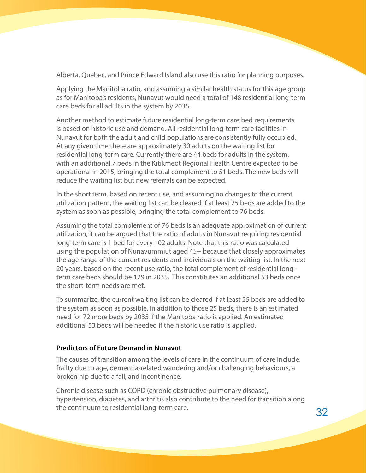Alberta, Quebec, and Prince Edward Island also use this ratio for planning purposes.

Applying the Manitoba ratio, and assuming a similar health status for this age group as for Manitoba's residents, Nunavut would need a total of 148 residential long-term care beds for all adults in the system by 2035.

Another method to estimate future residential long-term care bed requirements is based on historic use and demand. All residential long-term care facilities in Nunavut for both the adult and child populations are consistently fully occupied. At any given time there are approximately 30 adults on the waiting list for residential long-term care. Currently there are 44 beds for adults in the system, with an additional 7 beds in the Kitikmeot Regional Health Centre expected to be operational in 2015, bringing the total complement to 51 beds. The new beds will reduce the waiting list but new referrals can be expected.

In the short term, based on recent use, and assuming no changes to the current utilization pattern, the waiting list can be cleared if at least 25 beds are added to the system as soon as possible, bringing the total complement to 76 beds.

Assuming the total complement of 76 beds is an adequate approximation of current utilization, it can be argued that the ratio of adults in Nunavut requiring residential long-term care is 1 bed for every 102 adults. Note that this ratio was calculated using the population of Nunavummiut aged 45+ because that closely approximates the age range of the current residents and individuals on the waiting list. In the next 20 years, based on the recent use ratio, the total complement of residential longterm care beds should be 129 in 2035. This constitutes an additional 53 beds once the short-term needs are met.

To summarize, the current waiting list can be cleared if at least 25 beds are added to the system as soon as possible. In addition to those 25 beds, there is an estimated need for 72 more beds by 2035 if the Manitoba ratio is applied. An estimated additional 53 beds will be needed if the historic use ratio is applied.

#### **Predictors of Future Demand in Nunavut**

The causes of transition among the levels of care in the continuum of care include: frailty due to age, dementia-related wandering and/or challenging behaviours, a broken hip due to a fall, and incontinence.

Chronic disease such as COPD (chronic obstructive pulmonary disease), hypertension, diabetes, and arthritis also contribute to the need for transition along the continuum to residential long-term care.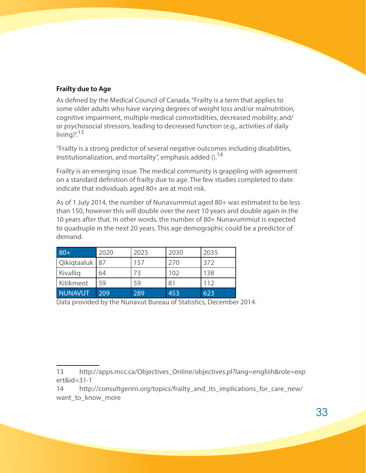#### **Frailty due to Age**

As defined by the Medical Council of Canada, "Frailty is a term that applies to some older adults who have varying degrees of weight loss and/or malnutrition, cognitive impairment, multiple medical comorbidities, decreased mobility, and/ or psychosocial stressors, leading to decreased function (e.g., activities of daily living)". $13$ 

"Frailty is a strong predictor of several negative outcomes including disabilities, institutionalization, and mortality", emphasis added  $()$ .<sup>14</sup>

Frailty is an emerging issue. The medical community is grappling with agreement on a standard definition of frailty due to age. The few studies completed to date indicate that individuals aged 80+ are at most risk.

As of 1 July 2014, the number of Nunavummiut aged 80+ was estimated to be less than 150, however this will double over the next 10 years and double again in the 10 years after that. In other words, the number of 80+ Nunavummiut is expected to quadruple in the next 20 years. This age demographic could be a predictor of demand.

| $80+$          | 2020 | 2025 | 2030 | 2035 |
|----------------|------|------|------|------|
| Qikiqtaaluk 87 |      | 157  | 270  | 372  |
| Kivallig       | 64   | 73   | 102  | 138  |
| Kitikmeot      | 59   | 59   | 81   | 112  |
| <b>NUNAVUT</b> | 209  | 289  | 453  | 623  |

Data provided by the Nunavut Bureau of Statistics, December 2014.

<sup>13</sup> http://apps.mcc.ca/Objectives\_Online/objectives.pl?lang=english&role=exp ert&id=31-1

<sup>14</sup> http://consultgerirn.org/topics/frailty\_and\_its\_implications\_for\_care\_new/ want to know more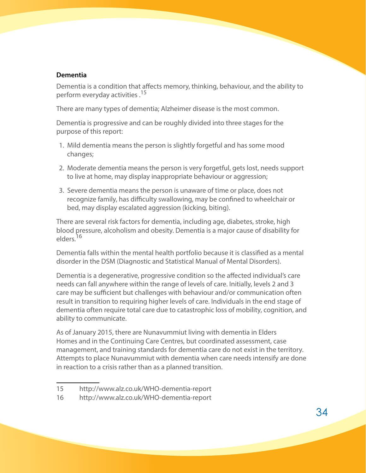#### **Dementia**

Dementia is a condition that affects memory, thinking, behaviour, and the ability to perform everyday activities.<sup>15</sup>

There are many types of dementia; Alzheimer disease is the most common.

Dementia is progressive and can be roughly divided into three stages for the purpose of this report:

- 1. Mild dementia means the person is slightly forgetful and has some mood changes;
- 2. Moderate dementia means the person is very forgetful, gets lost, needs support to live at home, may display inappropriate behaviour or aggression;
- 3. Severe dementia means the person is unaware of time or place, does not recognize family, has difficulty swallowing, may be confined to wheelchair or bed, may display escalated aggression (kicking, biting).

There are several risk factors for dementia, including age, diabetes, stroke, high blood pressure, alcoholism and obesity. Dementia is a major cause of disability for elders.<sup>16</sup>

Dementia falls within the mental health portfolio because it is classified as a mental disorder in the DSM (Diagnostic and Statistical Manual of Mental Disorders).

Dementia is a degenerative, progressive condition so the affected individual's care needs can fall anywhere within the range of levels of care. Initially, levels 2 and 3 care may be sufficient but challenges with behaviour and/or communication often result in transition to requiring higher levels of care. Individuals in the end stage of dementia often require total care due to catastrophic loss of mobility, cognition, and ability to communicate.

As of January 2015, there are Nunavummiut living with dementia in Elders Homes and in the Continuing Care Centres, but coordinated assessment, case management, and training standards for dementia care do not exist in the territory. Attempts to place Nunavummiut with dementia when care needs intensify are done in reaction to a crisis rather than as a planned transition.

<sup>15</sup> http://www.alz.co.uk/WHO-dementia-report

<sup>16</sup> http://www.alz.co.uk/WHO-dementia-report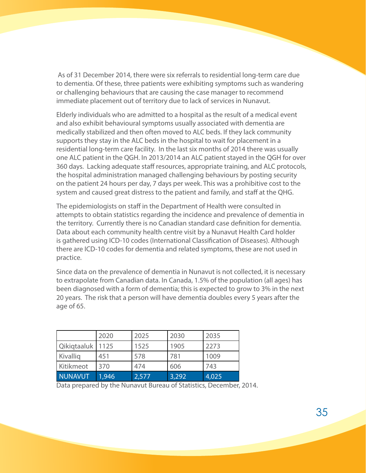As of 31 December 2014, there were six referrals to residential long-term care due to dementia. Of these, three patients were exhibiting symptoms such as wandering or challenging behaviours that are causing the case manager to recommend immediate placement out of territory due to lack of services in Nunavut.

Elderly individuals who are admitted to a hospital as the result of a medical event and also exhibit behavioural symptoms usually associated with dementia are medically stabilized and then often moved to ALC beds. If they lack community supports they stay in the ALC beds in the hospital to wait for placement in a residential long-term care facility. In the last six months of 2014 there was usually one ALC patient in the QGH. In 2013/2014 an ALC patient stayed in the QGH for over 360 days. Lacking adequate staff resources, appropriate training, and ALC protocols, the hospital administration managed challenging behaviours by posting security on the patient 24 hours per day, 7 days per week. This was a prohibitive cost to the system and caused great distress to the patient and family, and staff at the QHG.

The epidemiologists on staff in the Department of Health were consulted in attempts to obtain statistics regarding the incidence and prevalence of dementia in the territory. Currently there is no Canadian standard case definition for dementia. Data about each community health centre visit by a Nunavut Health Card holder is gathered using ICD-10 codes (International Classification of Diseases). Although there are ICD-10 codes for dementia and related symptoms, these are not used in practice.

Since data on the prevalence of dementia in Nunavut is not collected, it is necessary to extrapolate from Canadian data. In Canada, 1.5% of the population (all ages) has been diagnosed with a form of dementia; this is expected to grow to 3% in the next 20 years. The risk that a person will have dementia doubles every 5 years after the age of 65.

|                | 2020  | 2025  | 2030  | 2035  |
|----------------|-------|-------|-------|-------|
| Qikiqtaaluk    | 1125  | 1525  | 1905  | 2273  |
| Kivallig       | 451   | 578   | 781   | 1009  |
| Kitikmeot      | 370   | 474   | 606   | 743   |
| <b>NUNAVUT</b> | 1,946 | 2,577 | 3,292 | 4,025 |

Data prepared by the Nunavut Bureau of Statistics, December, 2014.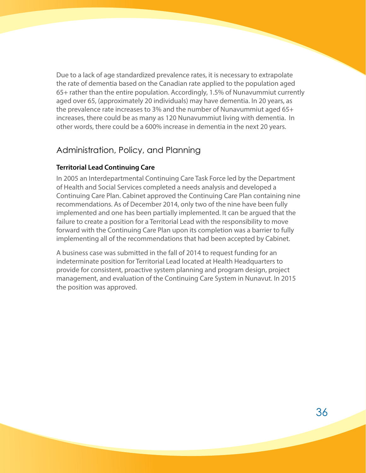<span id="page-38-0"></span>Due to a lack of age standardized prevalence rates, it is necessary to extrapolate the rate of dementia based on the Canadian rate applied to the population aged 65+ rather than the entire population. Accordingly, 1.5% of Nunavummiut currently aged over 65, (approximately 20 individuals) may have dementia. In 20 years, as the prevalence rate increases to 3% and the number of Nunavummiut aged 65+ increases, there could be as many as 120 Nunavummiut living with dementia. In other words, there could be a 600% increase in dementia in the next 20 years.

### Administration, Policy, and Planning

#### **Territorial Lead Continuing Care**

In 2005 an Interdepartmental Continuing Care Task Force led by the Department of Health and Social Services completed a needs analysis and developed a Continuing Care Plan. Cabinet approved the Continuing Care Plan containing nine recommendations. As of December 2014, only two of the nine have been fully implemented and one has been partially implemented. It can be argued that the failure to create a position for a Territorial Lead with the responsibility to move forward with the Continuing Care Plan upon its completion was a barrier to fully implementing all of the recommendations that had been accepted by Cabinet.

A business case was submitted in the fall of 2014 to request funding for an indeterminate position for Territorial Lead located at Health Headquarters to provide for consistent, proactive system planning and program design, project management, and evaluation of the Continuing Care System in Nunavut. In 2015 the position was approved.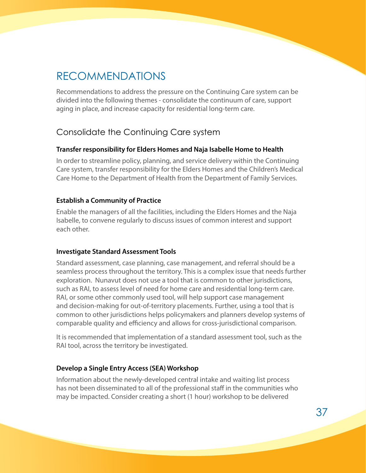## <span id="page-39-0"></span>RECOMMENDATIONS

Recommendations to address the pressure on the Continuing Care system can be divided into the following themes - consolidate the continuum of care, support aging in place, and increase capacity for residential long-term care.

### Consolidate the Continuing Care system

#### **Transfer responsibility for Elders Homes and Naja Isabelle Home to Health**

In order to streamline policy, planning, and service delivery within the Continuing Care system, transfer responsibility for the Elders Homes and the Children's Medical Care Home to the Department of Health from the Department of Family Services.

#### **Establish a Community of Practice**

Enable the managers of all the facilities, including the Elders Homes and the Naja Isabelle, to convene regularly to discuss issues of common interest and support each other.

#### **Investigate Standard Assessment Tools**

Standard assessment, case planning, case management, and referral should be a seamless process throughout the territory. This is a complex issue that needs further exploration. Nunavut does not use a tool that is common to other jurisdictions, such as RAI, to assess level of need for home care and residential long-term care. RAI, or some other commonly used tool, will help support case management and decision-making for out-of-territory placements. Further, using a tool that is common to other jurisdictions helps policymakers and planners develop systems of comparable quality and efficiency and allows for cross-jurisdictional comparison.

It is recommended that implementation of a standard assessment tool, such as the RAI tool, across the territory be investigated.

#### **Develop a Single Entry Access (SEA) Workshop**

Information about the newly-developed central intake and waiting list process has not been disseminated to all of the professional staff in the communities who may be impacted. Consider creating a short (1 hour) workshop to be delivered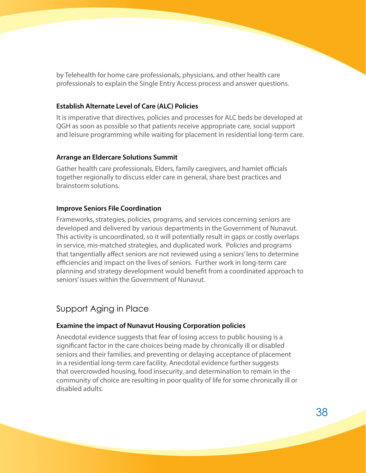<span id="page-40-0"></span>by Telehealth for home care professionals, physicians, and other health care professionals to explain the Single Entry Access process and answer questions.

#### **Establish Alternate Level of Care (ALC) Policies**

It is imperative that directives, policies and processes for ALC beds be developed at QGH as soon as possible so that patients receive appropriate care, social support and leisure programming while waiting for placement in residential long-term care.

#### **Arrange an Eldercare Solutions Summit**

Gather health care professionals, Elders, family caregivers, and hamlet officials together regionally to discuss elder care in general, share best practices and brainstorm solutions.

#### **Improve Seniors File Coordination**

Frameworks, strategies, policies, programs, and services concerning seniors are developed and delivered by various departments in the Government of Nunavut. This activity is uncoordinated, so it will potentially result in gaps or costly overlaps in service, mis-matched strategies, and duplicated work. Policies and programs that tangentially affect seniors are not reviewed using a seniors' lens to determine efficiencies and impact on the lives of seniors. Further work in long-term care planning and strategy development would benefit from a coordinated approach to seniors' issues within the Government of Nunavut.

### Support Aging in Place

#### **Examine the impact of Nunavut Housing Corporation policies**

Anecdotal evidence suggests that fear of losing access to public housing is a significant factor in the care choices being made by chronically ill or disabled seniors and their families, and preventing or delaying acceptance of placement in a residential long-term care facility. Anecdotal evidence further suggests that overcrowded housing, food insecurity, and determination to remain in the community of choice are resulting in poor quality of life for some chronically ill or disabled adults.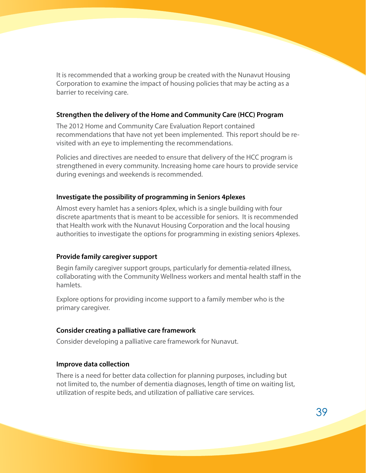It is recommended that a working group be created with the Nunavut Housing Corporation to examine the impact of housing policies that may be acting as a barrier to receiving care.

#### **Strengthen the delivery of the Home and Community Care (HCC) Program**

The 2012 Home and Community Care Evaluation Report contained recommendations that have not yet been implemented. This report should be revisited with an eye to implementing the recommendations.

Policies and directives are needed to ensure that delivery of the HCC program is strengthened in every community. Increasing home care hours to provide service during evenings and weekends is recommended.

#### **Investigate the possibility of programming in Seniors 4plexes**

Almost every hamlet has a seniors 4plex, which is a single building with four discrete apartments that is meant to be accessible for seniors. It is recommended that Health work with the Nunavut Housing Corporation and the local housing authorities to investigate the options for programming in existing seniors 4plexes.

#### **Provide family caregiver support**

Begin family caregiver support groups, particularly for dementia-related illness, collaborating with the Community Wellness workers and mental health staff in the hamlets.

Explore options for providing income support to a family member who is the primary caregiver.

#### **Consider creating a palliative care framework**

Consider developing a palliative care framework for Nunavut.

#### **Improve data collection**

There is a need for better data collection for planning purposes, including but not limited to, the number of dementia diagnoses, length of time on waiting list, utilization of respite beds, and utilization of palliative care services.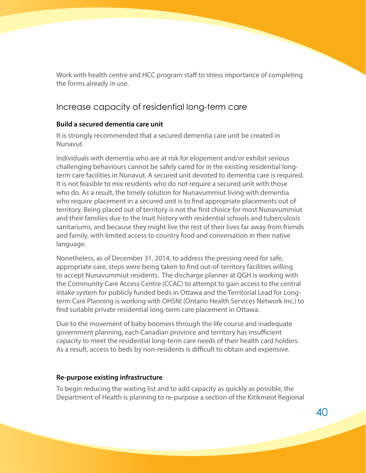<span id="page-42-0"></span>Work with health centre and HCC program staff to stress importance of completing the forms already in use.

### Increase capacity of residential long-term care

#### **Build a secured dementia care unit**

It is strongly recommended that a secured dementia care unit be created in Nunavut.

Individuals with dementia who are at risk for elopement and/or exhibit serious challenging behaviours cannot be safely cared for in the existing residential longterm care facilities in Nunavut. A secured unit devoted to dementia care is required. It is not feasible to mix residents who do not require a secured unit with those who do. As a result, the timely solution for Nunavummiut living with dementia who require placement in a secured unit is to find appropriate placements out of territory. Being placed out of territory is not the first choice for most Nunavummiut and their families due to the Inuit history with residential schools and tuberculosis sanitariums, and because they might live the rest of their lives far away from friends and family, with limited access to country food and conversation in their native language.

Nonetheless, as of December 31, 2014, to address the pressing need for safe, appropriate care, steps were being taken to find out-of-territory facilities willing to accept Nunavummiut residents. The discharge planner at QGH is working with the Community Care Access Centre (CCAC) to attempt to gain access to the central intake system for publicly funded beds in Ottawa and the Territorial Lead for Longterm Care Planning is working with OHSNI (Ontario Health Services Network Inc.) to find suitable private residential long-term care placement in Ottawa.

Due to the movement of baby boomers through the life course and inadequate government planning, each Canadian province and territory has insufficient capacity to meet the residential long-term care needs of their health card holders. As a result, access to beds by non-residents is difficult to obtain and expensive.

#### **Re-purpose existing infrastructure**

To begin reducing the waiting list and to add capacity as quickly as possible, the Department of Health is planning to re-purpose a section of the Kitikmeot Regional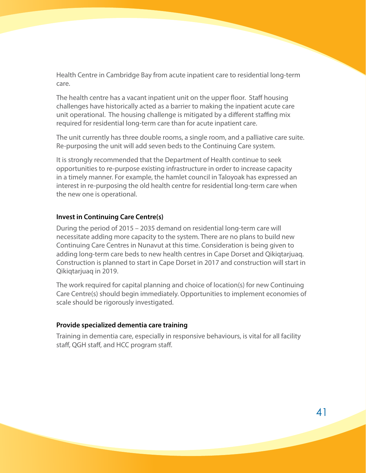Health Centre in Cambridge Bay from acute inpatient care to residential long-term care.

The health centre has a vacant inpatient unit on the upper floor. Staff housing challenges have historically acted as a barrier to making the inpatient acute care unit operational. The housing challenge is mitigated by a different staffing mix required for residential long-term care than for acute inpatient care.

The unit currently has three double rooms, a single room, and a palliative care suite. Re-purposing the unit will add seven beds to the Continuing Care system.

It is strongly recommended that the Department of Health continue to seek opportunities to re-purpose existing infrastructure in order to increase capacity in a timely manner. For example, the hamlet council in Taloyoak has expressed an interest in re-purposing the old health centre for residential long-term care when the new one is operational.

#### **Invest in Continuing Care Centre(s)**

During the period of 2015 – 2035 demand on residential long-term care will necessitate adding more capacity to the system. There are no plans to build new Continuing Care Centres in Nunavut at this time. Consideration is being given to adding long-term care beds to new health centres in Cape Dorset and Qikiqtarjuaq. Construction is planned to start in Cape Dorset in 2017 and construction will start in Qikiqtarjuaq in 2019.

The work required for capital planning and choice of location(s) for new Continuing Care Centre(s) should begin immediately. Opportunities to implement economies of scale should be rigorously investigated.

#### **Provide specialized dementia care training**

Training in dementia care, especially in responsive behaviours, is vital for all facility staff, QGH staff, and HCC program staff.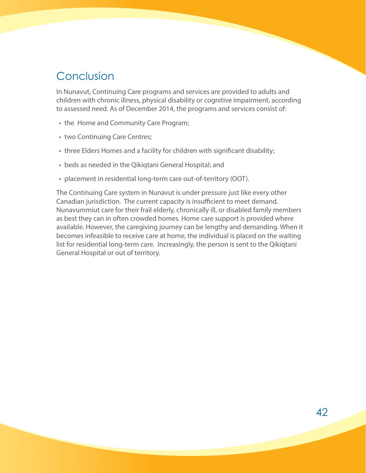## <span id="page-44-0"></span>Conclusion

In Nunavut, Continuing Care programs and services are provided to adults and children with chronic illness, physical disability or cognitive impairment, according to assessed need. As of December 2014, the programs and services consist of:

- the Home and Community Care Program;
- two Continuing Care Centres;
- three Elders Homes and a facility for children with significant disability;
- beds as needed in the Qikiqtani General Hospital; and
- placement in residential long-term care out-of-territory (OOT).

The Continuing Care system in Nunavut is under pressure just like every other Canadian jurisdiction. The current capacity is insufficient to meet demand. Nunavummiut care for their frail elderly, chronically ill, or disabled family members as best they can in often crowded homes. Home care support is provided where available. However, the caregiving journey can be lengthy and demanding. When it becomes infeasible to receive care at home, the individual is placed on the waiting list for residential long-term care. Increasingly, the person is sent to the Qikiqtani General Hospital or out of territory.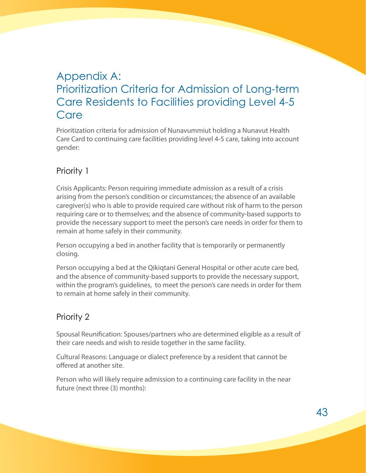## <span id="page-45-0"></span>Appendix A: Prioritization Criteria for Admission of Long-term Care Residents to Facilities providing Level 4-5 Care

Prioritization criteria for admission of Nunavummiut holding a Nunavut Health Care Card to continuing care facilities providing level 4-5 care, taking into account gender:

### Priority 1

Crisis Applicants: Person requiring immediate admission as a result of a crisis arising from the person's condition or circumstances; the absence of an available caregiver(s) who is able to provide required care without risk of harm to the person requiring care or to themselves; and the absence of community-based supports to provide the necessary support to meet the person's care needs in order for them to remain at home safely in their community.

Person occupying a bed in another facility that is temporarily or permanently closing.

Person occupying a bed at the Qikiqtani General Hospital or other acute care bed, and the absence of community-based supports to provide the necessary support, within the program's guidelines, to meet the person's care needs in order for them to remain at home safely in their community.

### Priority 2

Spousal Reunification: Spouses/partners who are determined eligible as a result of their care needs and wish to reside together in the same facility.

Cultural Reasons: Language or dialect preference by a resident that cannot be offered at another site.

Person who will likely require admission to a continuing care facility in the near future (next three (3) months):